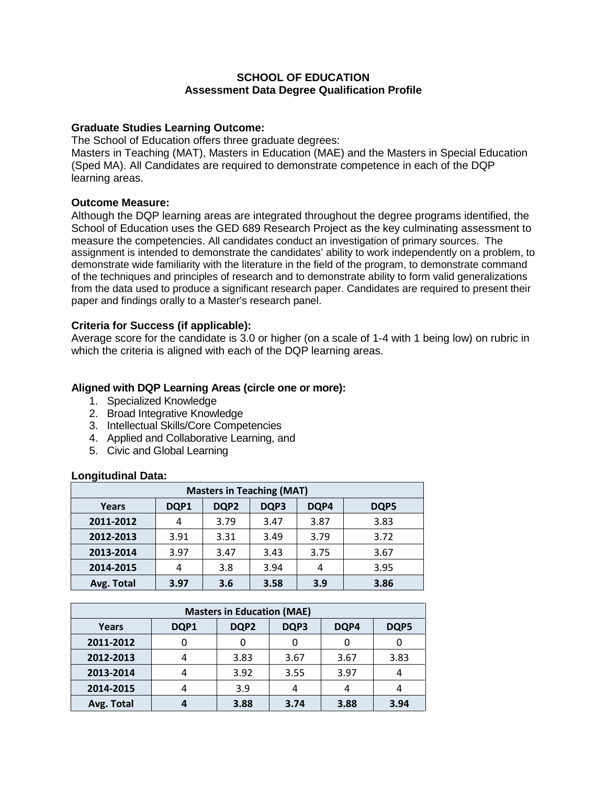## **SCHOOL OF EDUCATION Assessment Data Degree Qualification Profile**

# **Graduate Studies Learning Outcome:**

The School of Education offers three graduate degrees:

Masters in Teaching (MAT), Masters in Education (MAE) and the Masters in Special Education (Sped MA). All Candidates are required to demonstrate competence in each of the DQP learning areas.

## **Outcome Measure:**

Although the DQP learning areas are integrated throughout the degree programs identified, the School of Education uses the GED 689 Research Project as the key culminating assessment to measure the competencies. All candidates conduct an investigation of primary sources. The assignment is intended to demonstrate the candidates' ability to work independently on a problem, to demonstrate wide familiarity with the literature in the field of the program, to demonstrate command of the techniques and principles of research and to demonstrate ability to form valid generalizations from the data used to produce a significant research paper. Candidates are required to present their paper and findings orally to a Master's research panel.

# **Criteria for Success (if applicable):**

Average score for the candidate is 3.0 or higher (on a scale of 1-4 with 1 being low) on rubric in which the criteria is aligned with each of the DQP learning areas.

# **Aligned with DQP Learning Areas (circle one or more):**

- 1. Specialized Knowledge
- 2. Broad Integrative Knowledge
- 3. Intellectual Skills/Core Competencies
- 4. Applied and Collaborative Learning, and
- 5. Civic and Global Learning

#### **Longitudinal Data:**

| <b>Masters in Teaching (MAT)</b> |      |      |      |      |      |  |  |
|----------------------------------|------|------|------|------|------|--|--|
| Years                            | DQP1 | DQP2 | DQP3 | DQP4 | DQP5 |  |  |
| 2011-2012                        | 4    | 3.79 | 3.47 | 3.87 | 3.83 |  |  |
| 2012-2013                        | 3.91 | 3.31 | 3.49 | 3.79 | 3.72 |  |  |
| 2013-2014                        | 3.97 | 3.47 | 3.43 | 3.75 | 3.67 |  |  |
| 2014-2015                        | 4    | 3.8  | 3.94 | 4    | 3.95 |  |  |
| Avg. Total                       | 3.97 | 3.6  | 3.58 | 3.9  | 3.86 |  |  |

| <b>Masters in Education (MAE)</b> |      |      |      |      |      |  |
|-----------------------------------|------|------|------|------|------|--|
| Years                             | DQP1 | DQP2 | DQP3 | DQP4 | DQP5 |  |
| 2011-2012                         |      |      |      |      |      |  |
| 2012-2013                         |      | 3.83 | 3.67 | 3.67 | 3.83 |  |
| 2013-2014                         |      | 3.92 | 3.55 | 3.97 |      |  |
| 2014-2015                         |      | 3.9  |      |      |      |  |
| Avg. Total                        |      | 3.88 | 3.74 | 3.88 | 3.94 |  |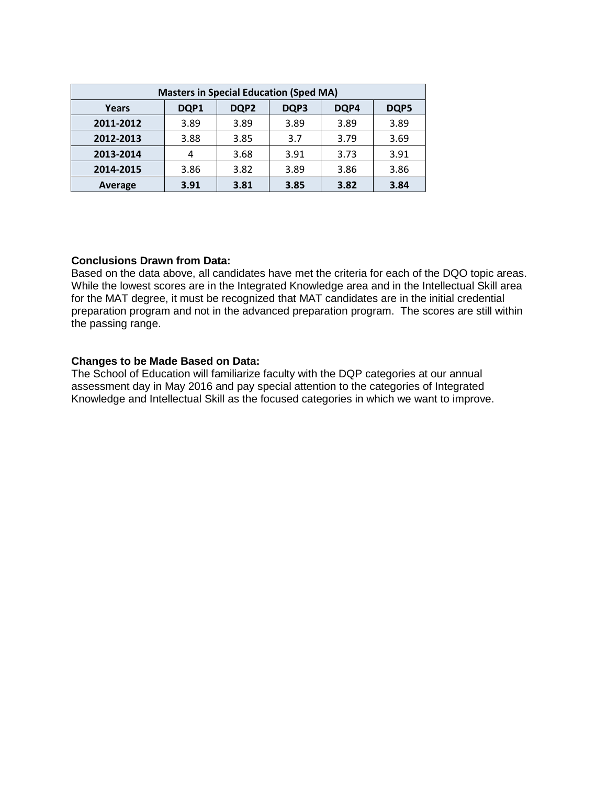| <b>Masters in Special Education (Sped MA)</b> |      |      |      |      |      |  |
|-----------------------------------------------|------|------|------|------|------|--|
| Years                                         | DQP1 | DQP2 | DQP3 | DQP4 | DQP5 |  |
| 2011-2012                                     | 3.89 | 3.89 | 3.89 | 3.89 | 3.89 |  |
| 2012-2013                                     | 3.88 | 3.85 | 3.7  | 3.79 | 3.69 |  |
| 2013-2014                                     |      | 3.68 | 3.91 | 3.73 | 3.91 |  |
| 2014-2015                                     | 3.86 | 3.82 | 3.89 | 3.86 | 3.86 |  |
| Average                                       | 3.91 | 3.81 | 3.85 | 3.82 | 3.84 |  |

# **Conclusions Drawn from Data:**

Based on the data above, all candidates have met the criteria for each of the DQO topic areas. While the lowest scores are in the Integrated Knowledge area and in the Intellectual Skill area for the MAT degree, it must be recognized that MAT candidates are in the initial credential preparation program and not in the advanced preparation program. The scores are still within the passing range.

## **Changes to be Made Based on Data:**

The School of Education will familiarize faculty with the DQP categories at our annual assessment day in May 2016 and pay special attention to the categories of Integrated Knowledge and Intellectual Skill as the focused categories in which we want to improve.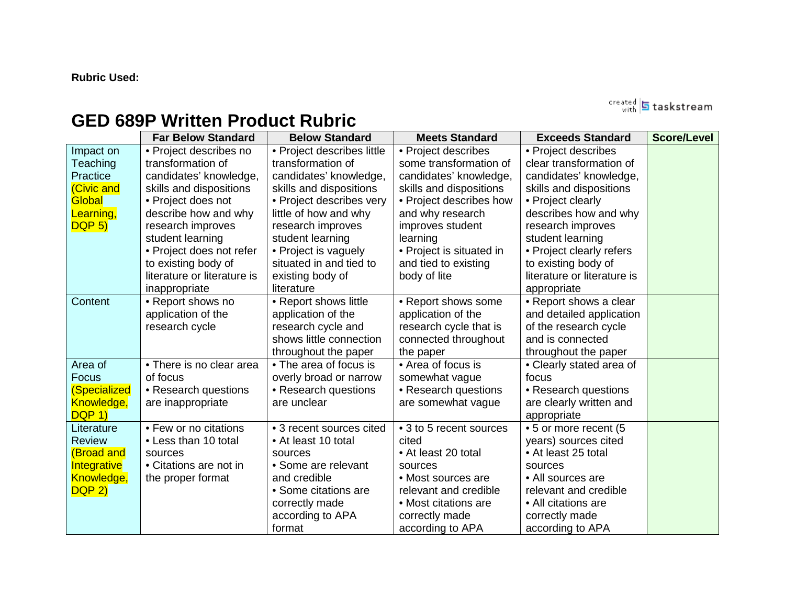# **Rubric Used:**

rreated **5** taskstream

# **GED 689P Written Product Rubric**

|                   | <b>Far Below Standard</b>   | <b>Below Standard</b>      | <b>Meets Standard</b>    | <b>Exceeds Standard</b>     | <b>Score/Level</b> |
|-------------------|-----------------------------|----------------------------|--------------------------|-----------------------------|--------------------|
| Impact on         | • Project describes no      | • Project describes little | • Project describes      | • Project describes         |                    |
| Teaching          | transformation of           | transformation of          | some transformation of   | clear transformation of     |                    |
| Practice          | candidates' knowledge,      | candidates' knowledge,     | candidates' knowledge,   | candidates' knowledge,      |                    |
| (Civic and        | skills and dispositions     | skills and dispositions    | skills and dispositions  | skills and dispositions     |                    |
| Global            | • Project does not          | • Project describes very   | • Project describes how  | • Project clearly           |                    |
| Learning,         | describe how and why        | little of how and why      | and why research         | describes how and why       |                    |
| DQP <sub>5</sub>  | research improves           | research improves          | improves student         | research improves           |                    |
|                   | student learning            | student learning           | learning                 | student learning            |                    |
|                   | • Project does not refer    | • Project is vaguely       | • Project is situated in | • Project clearly refers    |                    |
|                   | to existing body of         | situated in and tied to    | and tied to existing     | to existing body of         |                    |
|                   | literature or literature is | existing body of           | body of lite             | literature or literature is |                    |
|                   | inappropriate               | literature                 |                          | appropriate                 |                    |
| Content           | • Report shows no           | • Report shows little      | • Report shows some      | • Report shows a clear      |                    |
|                   | application of the          | application of the         | application of the       | and detailed application    |                    |
|                   | research cycle              | research cycle and         | research cycle that is   | of the research cycle       |                    |
|                   |                             | shows little connection    | connected throughout     | and is connected            |                    |
|                   |                             | throughout the paper       | the paper                | throughout the paper        |                    |
| Area of           | • There is no clear area    | • The area of focus is     | • Area of focus is       | • Clearly stated area of    |                    |
| Focus             | of focus                    | overly broad or narrow     | somewhat vague           | focus                       |                    |
| (Specialized      | • Research questions        | • Research questions       | • Research questions     | • Research questions        |                    |
| Knowledge,        | are inappropriate           | are unclear                | are somewhat vague       | are clearly written and     |                    |
| <b>DQP 1)</b>     |                             |                            |                          | appropriate                 |                    |
| Literature        | • Few or no citations       | • 3 recent sources cited   | • 3 to 5 recent sources  | • 5 or more recent (5       |                    |
| <b>Review</b>     | • Less than 10 total        | • At least 10 total        | cited                    | years) sources cited        |                    |
| <b>(Broad and</b> | sources                     | sources                    | • At least 20 total      | • At least 25 total         |                    |
| Integrative       | • Citations are not in      | • Some are relevant        | sources                  | sources                     |                    |
| Knowledge,        | the proper format           | and credible               | • Most sources are       | • All sources are           |                    |
| DQP <sub>2</sub>  |                             | • Some citations are       | relevant and credible    | relevant and credible       |                    |
|                   |                             | correctly made             | • Most citations are     | • All citations are         |                    |
|                   |                             | according to APA           | correctly made           | correctly made              |                    |
|                   |                             | format                     | according to APA         | according to APA            |                    |